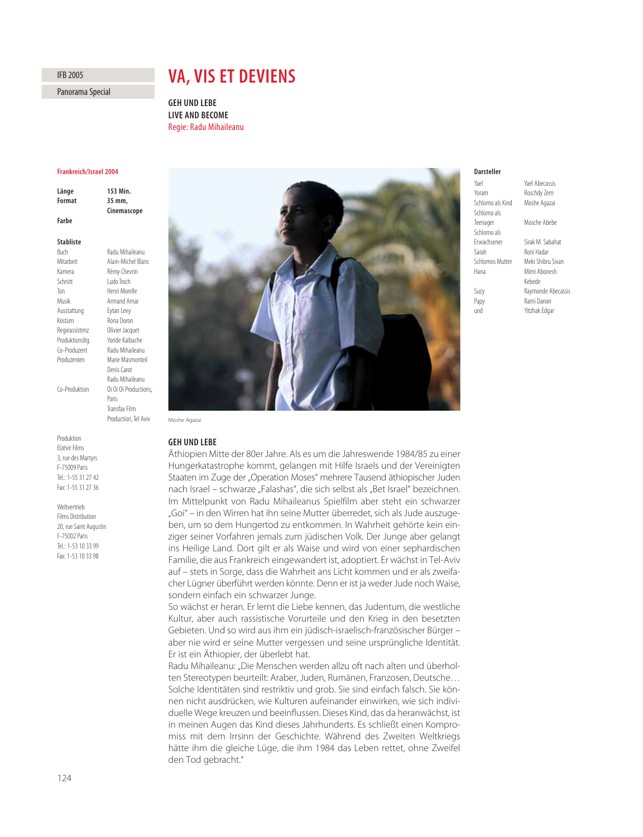# IFB 2005

Panorama Special

# **VA, VIS ET DEVIENS**

**LIVE AND BECOME** Regie: Radu Mihaileanu

### Frankreich/Israel 2004

| Länge  | 153 Min.    |
|--------|-------------|
|        |             |
| Format | 35 mm.      |
|        | Cinemascope |
| Farbe  |             |

**Radu Mihaileanu** 

Denis Carot Radu Mihaileanu

Paris

#### **Stabliste**

**Buch** Mitarbeit Alain-Michel Blanc Kamera Rémy Chevrin Schnitt Ludo Troch Ton Henri Morelle Musik Armand Amar Ausstattung Eytan Levy Kostüm Rona Doron Regieassistenz Olivier Jacquet Produktionsltg. Yoride Kalbache Co-Produzent Radu Mihaileanu Produzenten Marie Masmonteil

Co-Produktion Oï Oï Oï Productions,

Produktion Elzévir Films 3, rue des Martyrs F-75009 Paris Tel.: 1-55 31 27 42 Fax: 1-55 31 27 36

Weltvertrieb Films Distribution 20, rue Saint Augustin F-75002 Paris Tel.: 1-53 10 33 99 Fax: 1-53 10 33 98



#### Darsteller

| Yael                   | Yael Abecassis     |
|------------------------|--------------------|
| Yoram                  | Roschdy Zem        |
| Schlomo als Kind       | Moshe Agazai       |
| Schlomo als            |                    |
| Teenager               | Mosche Abebe       |
| Schlomo als            |                    |
| Frwachsener            | Sirak M. Sabahat   |
| Sarah                  | Roni Hadar         |
| <b>Schlomos Mutter</b> | Meki Shibru Sivan  |
| Hana                   | Mimi Abonesh       |
|                        | Kebede             |
| Suzy                   | Raymonde Abecassis |
| Papy                   | Rami Danon         |
| und                    | Yitzhak Edgar      |

Transfax Film Production, Tel Aviv Moshe Agazai

# **GEH UND LEBE**

**GEH UND LEBE** Äthiopien Mitte der 80er Jahre. Als es um die Jahreswende 1984/85 zu einer Hungerkatastrophe kommt, gelangen mit Hilfe Israels und der Vereinigten Staaten im Zuge der "Operation Moses" mehrere Tausend äthiopischer Juden nach Israel – schwarze "Falashas", die sich selbst als "Bet Israel" bezeichnen. Im Mittelpunkt von Radu Mihaileanus Spielfilm aber steht ein schwarzer "Goi" – in den Wirren hat ihn seine Mutter überredet, sich als Jude auszugeben, um so dem Hungertod zu entkommen. In Wahrheit gehörte kein einziger seiner Vorfahren jemals zum jüdischen Volk. Der Junge aber gelangt ins Heilige Land. Dort gilt er als Waise und wird von einer sephardischen Familie, die aus Frankreich eingewandert ist, adoptiert. Er wächst in Tel-Aviv auf – stets in Sorge, dass die Wahrheit ans Licht kommen und er als zweifacher Lügner überführt werden könnte. Denn er ist ja weder Jude noch Waise, sondern einfach ein schwarzer Junge.

So wächst er heran. Er lernt die Liebe kennen, das Judentum, die westliche Kultur, aber auch rassistische Vorurteile und den Krieg in den besetzten Gebieten. Und so wird aus ihm ein jüdisch-israelisch-französischer Bürger – aber nie wird er seine Mutter vergessen und seine ursprüngliche Identität. Er ist ein Äthiopier, der überlebt hat.

Radu Mihaileanu: "Die Menschen werden allzu oft nach alten und überholten Stereotypen beurteilt: Araber, Juden, Rumänen, Franzosen, Deutsche… Solche Identitäten sind restriktiv und grob. Sie sind einfach falsch. Sie können nicht ausdrücken, wie Kulturen aufeinander einwirken, wie sich individuelle Wege kreuzen und beeinflussen. Dieses Kind, das da heranwächst, ist in meinen Augen das Kind dieses Jahrhunderts. Es schließt einen Kompromiss mit dem Irrsinn der Geschichte. Während des Zweiten Weltkriegs hätte ihm die gleiche Lüge, die ihm 1984 das Leben rettet, ohne Zweifel den Tod gebracht."